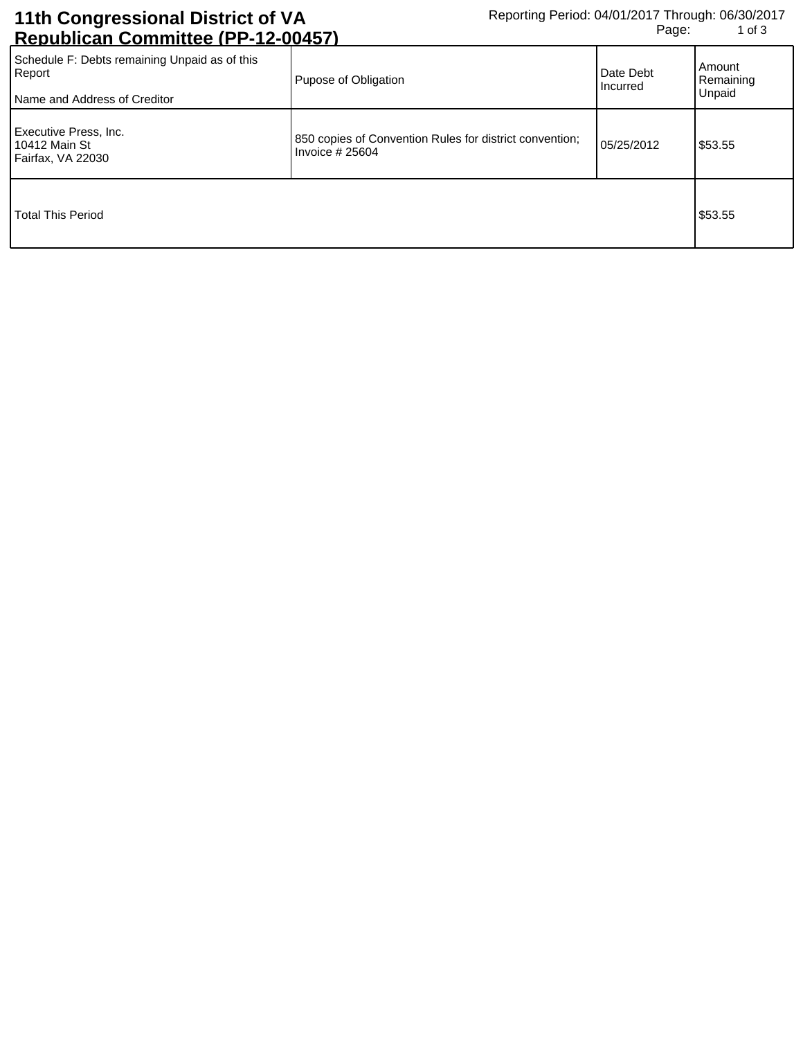## **11th Congressional District of VA Republican Committee (PP-12-00457)**

| <u>INGNUNIIVAIT VUITIIIIIIUGU ILI TIZTUUTUI J</u>                                       |                                                                             |                              |                               |
|-----------------------------------------------------------------------------------------|-----------------------------------------------------------------------------|------------------------------|-------------------------------|
| Schedule F: Debts remaining Unpaid as of this<br>Report<br>Name and Address of Creditor | Pupose of Obligation                                                        | Date Debt<br><b>Incurred</b> | Amount<br>Remaining<br>Unpaid |
| Executive Press, Inc.<br>10412 Main St<br>Fairfax, VA 22030                             | 850 copies of Convention Rules for district convention;<br>Invoice $#25604$ | 05/25/2012                   | \$53.55                       |
| <b>Total This Period</b>                                                                |                                                                             |                              | \$53.55                       |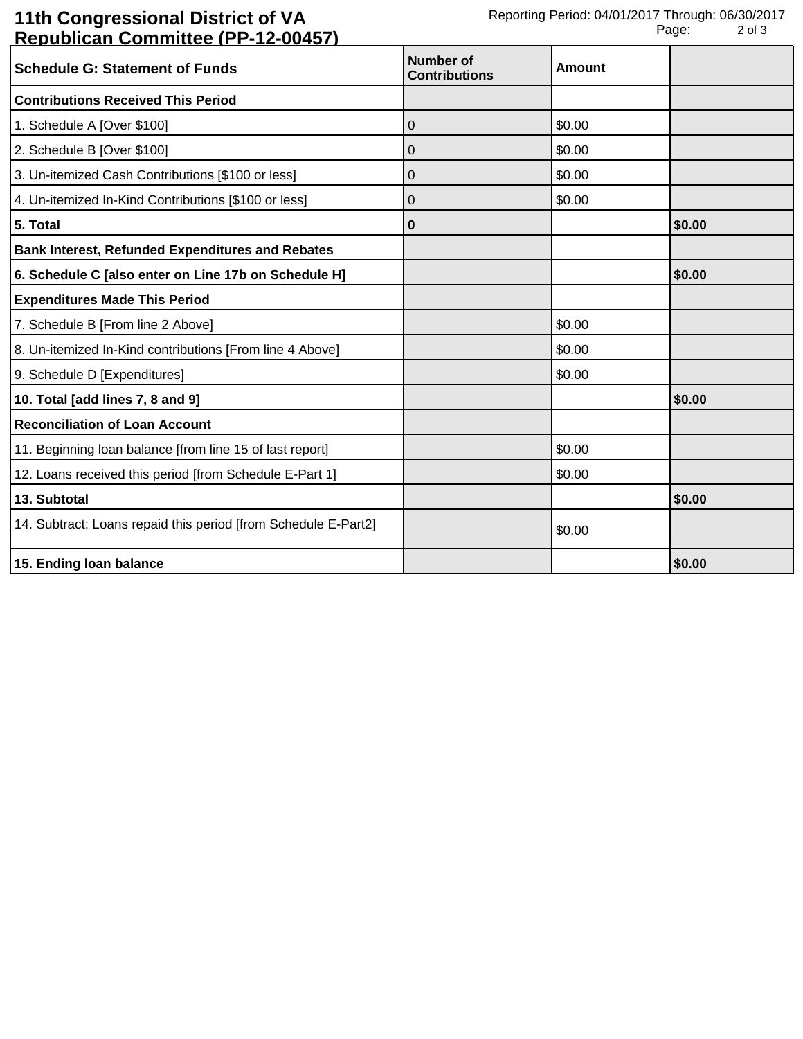## **11th Congressional District of VA Republican Committee (PP-12-00457)**

| <u>Kopaphoan Oommittee (FFFFFF)</u>                            |                                          |               |        |
|----------------------------------------------------------------|------------------------------------------|---------------|--------|
| <b>Schedule G: Statement of Funds</b>                          | <b>Number of</b><br><b>Contributions</b> | <b>Amount</b> |        |
| <b>Contributions Received This Period</b>                      |                                          |               |        |
| 1. Schedule A [Over \$100]                                     | 0                                        | \$0.00        |        |
| 2. Schedule B [Over \$100]                                     | 0                                        | \$0.00        |        |
| 3. Un-itemized Cash Contributions [\$100 or less]              | 0                                        | \$0.00        |        |
| 4. Un-itemized In-Kind Contributions [\$100 or less]           | 0                                        | \$0.00        |        |
| 5. Total                                                       | 0                                        |               | \$0.00 |
| <b>Bank Interest, Refunded Expenditures and Rebates</b>        |                                          |               |        |
| 6. Schedule C [also enter on Line 17b on Schedule H]           |                                          |               | \$0.00 |
| <b>Expenditures Made This Period</b>                           |                                          |               |        |
| 7. Schedule B [From line 2 Above]                              |                                          | \$0.00        |        |
| 8. Un-itemized In-Kind contributions [From line 4 Above]       |                                          | \$0.00        |        |
| 9. Schedule D [Expenditures]                                   |                                          | \$0.00        |        |
| 10. Total [add lines 7, 8 and 9]                               |                                          |               | \$0.00 |
| <b>Reconciliation of Loan Account</b>                          |                                          |               |        |
| 11. Beginning loan balance [from line 15 of last report]       |                                          | \$0.00        |        |
| 12. Loans received this period [from Schedule E-Part 1]        |                                          | \$0.00        |        |
| 13. Subtotal                                                   |                                          |               | \$0.00 |
| 14. Subtract: Loans repaid this period [from Schedule E-Part2] |                                          | \$0.00        |        |
| 15. Ending loan balance                                        |                                          |               | \$0.00 |